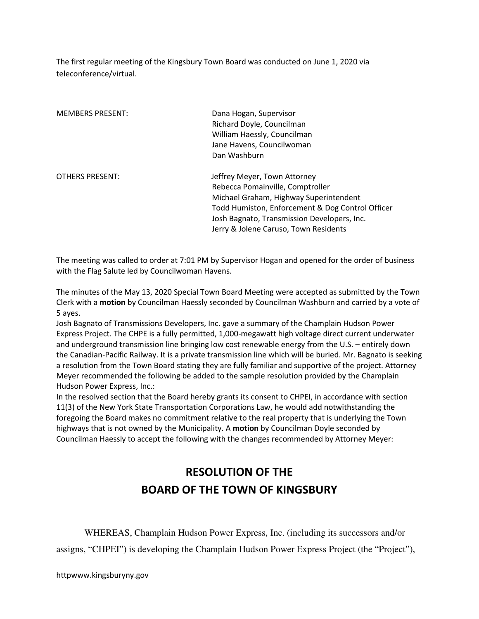The first regular meeting of the Kingsbury Town Board was conducted on June 1, 2020 via teleconference/virtual.

| <b>MEMBERS PRESENT:</b> | Dana Hogan, Supervisor<br>Richard Doyle, Councilman<br>William Haessly, Councilman<br>Jane Havens, Councilwoman                                                                                                                                        |
|-------------------------|--------------------------------------------------------------------------------------------------------------------------------------------------------------------------------------------------------------------------------------------------------|
|                         | Dan Washburn                                                                                                                                                                                                                                           |
| <b>OTHERS PRESENT:</b>  | Jeffrey Meyer, Town Attorney<br>Rebecca Pomainville, Comptroller<br>Michael Graham, Highway Superintendent<br>Todd Humiston, Enforcement & Dog Control Officer<br>Josh Bagnato, Transmission Developers, Inc.<br>Jerry & Jolene Caruso, Town Residents |

The meeting was called to order at 7:01 PM by Supervisor Hogan and opened for the order of business with the Flag Salute led by Councilwoman Havens.

The minutes of the May 13, 2020 Special Town Board Meeting were accepted as submitted by the Town Clerk with a motion by Councilman Haessly seconded by Councilman Washburn and carried by a vote of 5 ayes.

Josh Bagnato of Transmissions Developers, Inc. gave a summary of the Champlain Hudson Power Express Project. The CHPE is a fully permitted, 1,000-megawatt high voltage direct current underwater and underground transmission line bringing low cost renewable energy from the U.S. – entirely down the Canadian-Pacific Railway. It is a private transmission line which will be buried. Mr. Bagnato is seeking a resolution from the Town Board stating they are fully familiar and supportive of the project. Attorney Meyer recommended the following be added to the sample resolution provided by the Champlain Hudson Power Express, Inc.:

In the resolved section that the Board hereby grants its consent to CHPEI, in accordance with section 11(3) of the New York State Transportation Corporations Law, he would add notwithstanding the foregoing the Board makes no commitment relative to the real property that is underlying the Town highways that is not owned by the Municipality. A motion by Councilman Doyle seconded by Councilman Haessly to accept the following with the changes recommended by Attorney Meyer:

# RESOLUTION OF THE BOARD OF THE TOWN OF KINGSBURY

 WHEREAS, Champlain Hudson Power Express, Inc. (including its successors and/or assigns, "CHPEI") is developing the Champlain Hudson Power Express Project (the "Project"),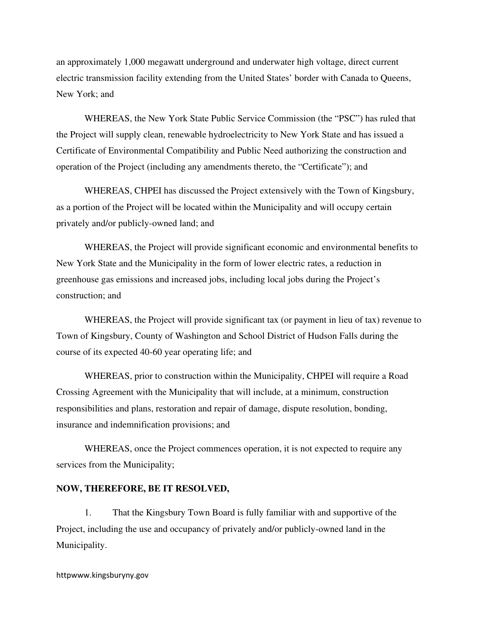an approximately 1,000 megawatt underground and underwater high voltage, direct current electric transmission facility extending from the United States' border with Canada to Queens, New York; and

 WHEREAS, the New York State Public Service Commission (the "PSC") has ruled that the Project will supply clean, renewable hydroelectricity to New York State and has issued a Certificate of Environmental Compatibility and Public Need authorizing the construction and operation of the Project (including any amendments thereto, the "Certificate"); and

 WHEREAS, CHPEI has discussed the Project extensively with the Town of Kingsbury, as a portion of the Project will be located within the Municipality and will occupy certain privately and/or publicly-owned land; and

 WHEREAS, the Project will provide significant economic and environmental benefits to New York State and the Municipality in the form of lower electric rates, a reduction in greenhouse gas emissions and increased jobs, including local jobs during the Project's construction; and

WHEREAS, the Project will provide significant tax (or payment in lieu of tax) revenue to Town of Kingsbury, County of Washington and School District of Hudson Falls during the course of its expected 40-60 year operating life; and

 WHEREAS, prior to construction within the Municipality, CHPEI will require a Road Crossing Agreement with the Municipality that will include, at a minimum, construction responsibilities and plans, restoration and repair of damage, dispute resolution, bonding, insurance and indemnification provisions; and

 WHEREAS, once the Project commences operation, it is not expected to require any services from the Municipality;

#### **NOW, THEREFORE, BE IT RESOLVED,**

1. That the Kingsbury Town Board is fully familiar with and supportive of the Project, including the use and occupancy of privately and/or publicly-owned land in the Municipality.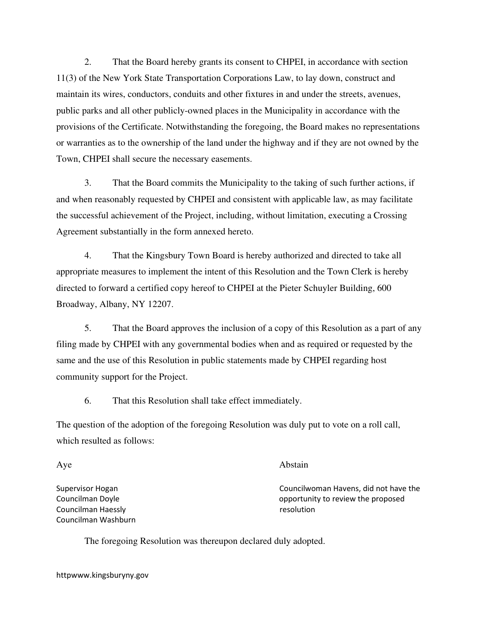2. That the Board hereby grants its consent to CHPEI, in accordance with section 11(3) of the New York State Transportation Corporations Law, to lay down, construct and maintain its wires, conductors, conduits and other fixtures in and under the streets, avenues, public parks and all other publicly-owned places in the Municipality in accordance with the provisions of the Certificate. Notwithstanding the foregoing, the Board makes no representations or warranties as to the ownership of the land under the highway and if they are not owned by the Town, CHPEI shall secure the necessary easements.

3. That the Board commits the Municipality to the taking of such further actions, if and when reasonably requested by CHPEI and consistent with applicable law, as may facilitate the successful achievement of the Project, including, without limitation, executing a Crossing Agreement substantially in the form annexed hereto.

4. That the Kingsbury Town Board is hereby authorized and directed to take all appropriate measures to implement the intent of this Resolution and the Town Clerk is hereby directed to forward a certified copy hereof to CHPEI at the Pieter Schuyler Building, 600 Broadway, Albany, NY 12207.

5. That the Board approves the inclusion of a copy of this Resolution as a part of any filing made by CHPEI with any governmental bodies when and as required or requested by the same and the use of this Resolution in public statements made by CHPEI regarding host community support for the Project.

6. That this Resolution shall take effect immediately.

The question of the adoption of the foregoing Resolution was duly put to vote on a roll call, which resulted as follows:

Aye Abstain

Supervisor Hogan Councilwoman Havens, did not have the Councilman Doyle opportunity to review the proposed

The foregoing Resolution was thereupon declared duly adopted.

httpwww.kingsburyny.gov

Councilman Haessly resolution Councilman Washburn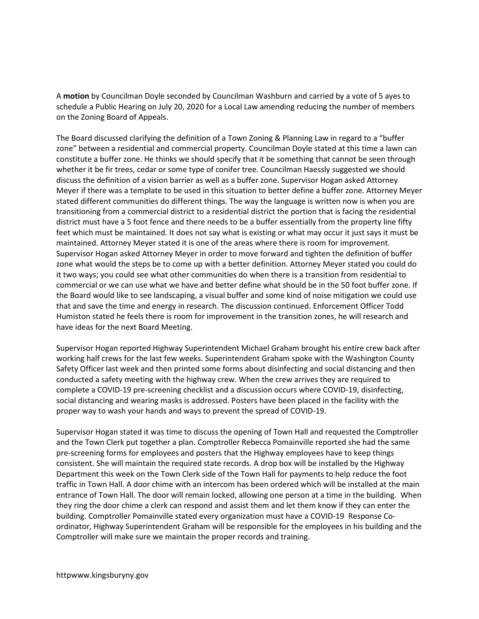A motion by Councilman Doyle seconded by Councilman Washburn and carried by a vote of 5 ayes to schedule a Public Hearing on July 20, 2020 for a Local Law amending reducing the number of members on the Zoning Board of Appeals.

The Board discussed clarifying the definition of a Town Zoning & Planning Law in regard to a "buffer zone" between a residential and commercial property. Councilman Doyle stated at this time a lawn can constitute a buffer zone. He thinks we should specify that it be something that cannot be seen through whether it be fir trees, cedar or some type of conifer tree. Councilman Haessly suggested we should discuss the definition of a vision barrier as well as a buffer zone. Supervisor Hogan asked Attorney Meyer if there was a template to be used in this situation to better define a buffer zone. Attorney Meyer stated different communities do different things. The way the language is written now is when you are transitioning from a commercial district to a residential district the portion that is facing the residential district must have a 5 foot fence and there needs to be a buffer essentially from the property line fifty feet which must be maintained. It does not say what is existing or what may occur it just says it must be maintained. Attorney Meyer stated it is one of the areas where there is room for improvement. Supervisor Hogan asked Attorney Meyer in order to move forward and tighten the definition of buffer zone what would the steps be to come up with a better definition. Attorney Meyer stated you could do it two ways; you could see what other communities do when there is a transition from residential to commercial or we can use what we have and better define what should be in the 50 foot buffer zone. If the Board would like to see landscaping, a visual buffer and some kind of noise mitigation we could use that and save the time and energy in research. The discussion continued. Enforcement Officer Todd Humiston stated he feels there is room for improvement in the transition zones, he will research and have ideas for the next Board Meeting.

Supervisor Hogan reported Highway Superintendent Michael Graham brought his entire crew back after working half crews for the last few weeks. Superintendent Graham spoke with the Washington County Safety Officer last week and then printed some forms about disinfecting and social distancing and then conducted a safety meeting with the highway crew. When the crew arrives they are required to complete a COVID-19 pre-screening checklist and a discussion occurs where COVID-19, disinfecting, social distancing and wearing masks is addressed. Posters have been placed in the facility with the proper way to wash your hands and ways to prevent the spread of COVID-19.

Supervisor Hogan stated it was time to discuss the opening of Town Hall and requested the Comptroller and the Town Clerk put together a plan. Comptroller Rebecca Pomainville reported she had the same pre-screening forms for employees and posters that the Highway employees have to keep things consistent. She will maintain the required state records. A drop box will be installed by the Highway Department this week on the Town Clerk side of the Town Hall for payments to help reduce the foot traffic in Town Hall. A door chime with an intercom has been ordered which will be installed at the main entrance of Town Hall. The door will remain locked, allowing one person at a time in the building. When they ring the door chime a clerk can respond and assist them and let them know if they can enter the building. Comptroller Pomainville stated every organization must have a COVID-19 Response Coordinator, Highway Superintendent Graham will be responsible for the employees in his building and the Comptroller will make sure we maintain the proper records and training.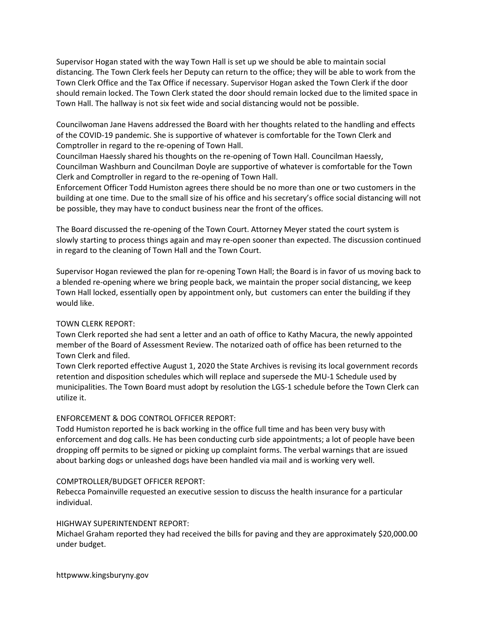Supervisor Hogan stated with the way Town Hall is set up we should be able to maintain social distancing. The Town Clerk feels her Deputy can return to the office; they will be able to work from the Town Clerk Office and the Tax Office if necessary. Supervisor Hogan asked the Town Clerk if the door should remain locked. The Town Clerk stated the door should remain locked due to the limited space in Town Hall. The hallway is not six feet wide and social distancing would not be possible.

Councilwoman Jane Havens addressed the Board with her thoughts related to the handling and effects of the COVID-19 pandemic. She is supportive of whatever is comfortable for the Town Clerk and Comptroller in regard to the re-opening of Town Hall.

Councilman Haessly shared his thoughts on the re-opening of Town Hall. Councilman Haessly, Councilman Washburn and Councilman Doyle are supportive of whatever is comfortable for the Town Clerk and Comptroller in regard to the re-opening of Town Hall.

Enforcement Officer Todd Humiston agrees there should be no more than one or two customers in the building at one time. Due to the small size of his office and his secretary's office social distancing will not be possible, they may have to conduct business near the front of the offices.

The Board discussed the re-opening of the Town Court. Attorney Meyer stated the court system is slowly starting to process things again and may re-open sooner than expected. The discussion continued in regard to the cleaning of Town Hall and the Town Court.

Supervisor Hogan reviewed the plan for re-opening Town Hall; the Board is in favor of us moving back to a blended re-opening where we bring people back, we maintain the proper social distancing, we keep Town Hall locked, essentially open by appointment only, but customers can enter the building if they would like.

#### TOWN CLERK REPORT:

Town Clerk reported she had sent a letter and an oath of office to Kathy Macura, the newly appointed member of the Board of Assessment Review. The notarized oath of office has been returned to the Town Clerk and filed.

Town Clerk reported effective August 1, 2020 the State Archives is revising its local government records retention and disposition schedules which will replace and supersede the MU-1 Schedule used by municipalities. The Town Board must adopt by resolution the LGS-1 schedule before the Town Clerk can utilize it.

## ENFORCEMENT & DOG CONTROL OFFICER REPORT:

Todd Humiston reported he is back working in the office full time and has been very busy with enforcement and dog calls. He has been conducting curb side appointments; a lot of people have been dropping off permits to be signed or picking up complaint forms. The verbal warnings that are issued about barking dogs or unleashed dogs have been handled via mail and is working very well.

#### COMPTROLLER/BUDGET OFFICER REPORT:

Rebecca Pomainville requested an executive session to discuss the health insurance for a particular individual.

#### HIGHWAY SUPERINTENDENT REPORT:

Michael Graham reported they had received the bills for paving and they are approximately \$20,000.00 under budget.